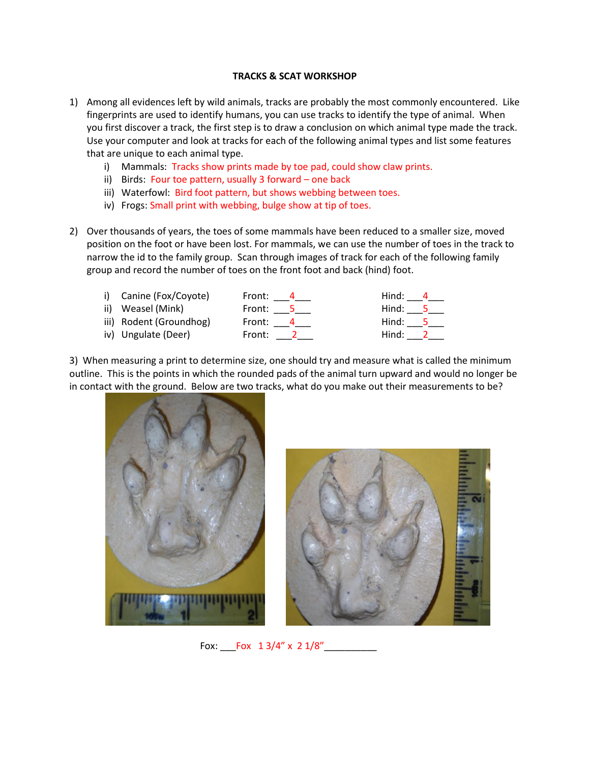## **TRACKS & SCAT WORKSHOP**

- 1) Among all evidences left by wild animals, tracks are probably the most commonly encountered. Like fingerprints are used to identify humans, you can use tracks to identify the type of animal. When you first discover a track, the first step is to draw a conclusion on which animal type made the track. Use your computer and look at tracks for each of the following animal types and list some features that are unique to each animal type.
	- i) Mammals: Tracks show prints made by toe pad, could show claw prints.
	- ii) Birds: Four toe pattern, usually 3 forward one back
	- iii) Waterfowl: Bird foot pattern, but shows webbing between toes.
	- iv) Frogs: Small print with webbing, bulge show at tip of toes.
- 2) Over thousands of years, the toes of some mammals have been reduced to a smaller size, moved position on the foot or have been lost. For mammals, we can use the number of toes in the track to narrow the id to the family group. Scan through images of track for each of the following family group and record the number of toes on the front foot and back (hind) foot.

| i) Canine (Fox/Coyote)  | Front: $-4$    | Hind: <u>4</u>                              |
|-------------------------|----------------|---------------------------------------------|
| ii) Weasel (Mink)       | Front: $\_\_5$ | $\mathsf{Hind:}\_\_\,\mathsf{5}\_\$         |
| iii) Rodent (Groundhog) | Front: $\_4$   | $\mathsf{Hind}\colon \_\_\_5$               |
| iv) Ungulate (Deer)     | Front: $\_\_2$ | $\mathsf{Hind}\colon \_\!\_\!\!\!\!\!\!\_2$ |
|                         |                |                                             |

3) When measuring a print to determine size, one should try and measure what is called the minimum outline. This is the points in which the rounded pads of the animal turn upward and would no longer be in contact with the ground. Below are two tracks, what do you make out their measurements to be?





Fox: Fox 1 3/4" x 2 1/8"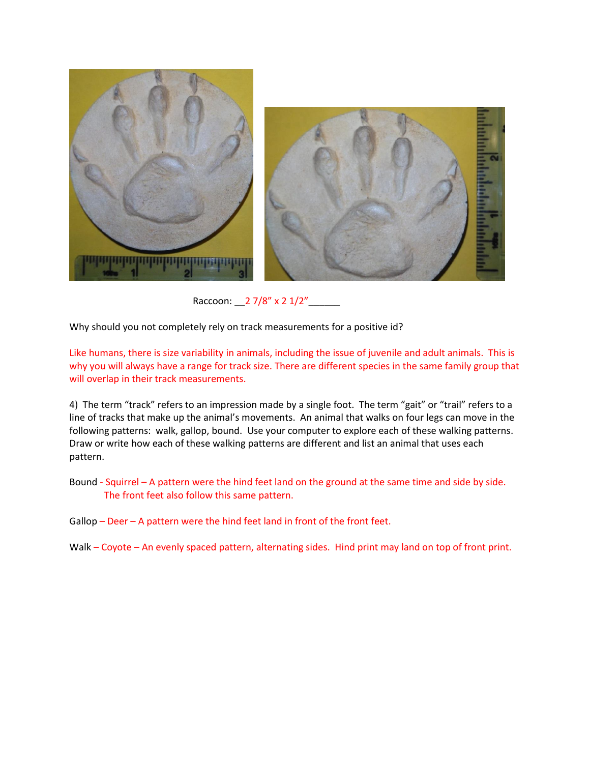

Raccoon: \_\_2 7/8" x 2 1/2"\_

Why should you not completely rely on track measurements for a positive id?

Like humans, there is size variability in animals, including the issue of juvenile and adult animals. This is why you will always have a range for track size. There are different species in the same family group that will overlap in their track measurements.

4) The term "track" refers to an impression made by a single foot. The term "gait" or "trail" refers to a line of tracks that make up the animal's movements. An animal that walks on four legs can move in the following patterns: walk, gallop, bound. Use your computer to explore each of these walking patterns. Draw or write how each of these walking patterns are different and list an animal that uses each pattern.

Bound - Squirrel – A pattern were the hind feet land on the ground at the same time and side by side. The front feet also follow this same pattern.

Gallop – Deer – A pattern were the hind feet land in front of the front feet.

Walk – Coyote – An evenly spaced pattern, alternating sides. Hind print may land on top of front print.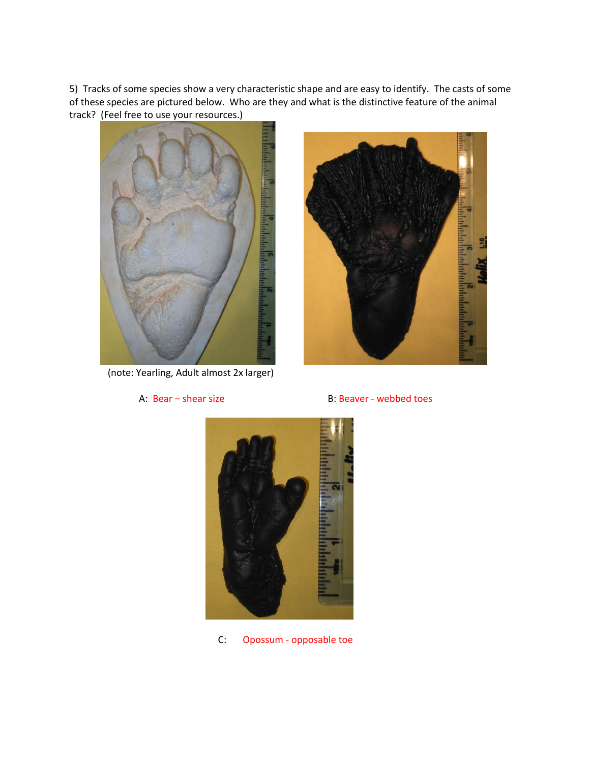5) Tracks of some species show a very characteristic shape and are easy to identify. The casts of some of these species are pictured below. Who are they and what is the distinctive feature of the animal track? (Feel free to use your resources.)



(note: Yearling, Adult almost 2x larger)



A: Bear – shear size B: Beaver - webbed toes



C: Opossum - opposable toe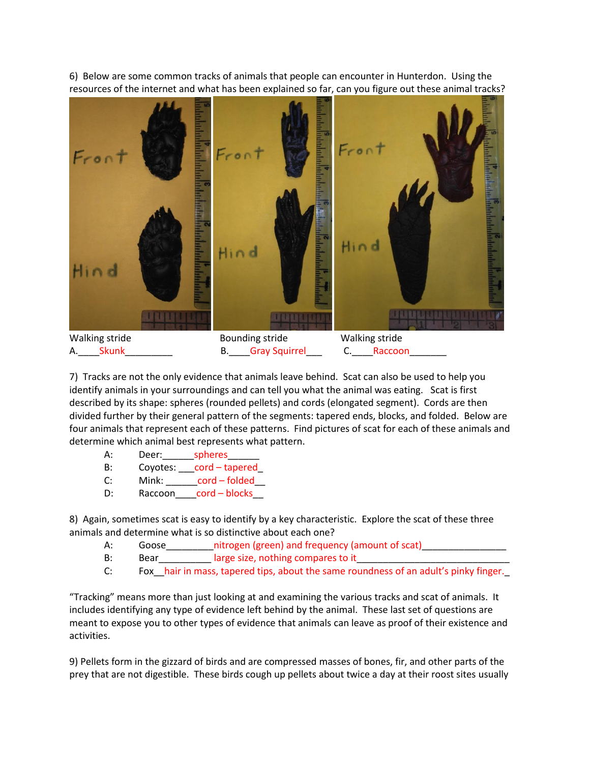6) Below are some common tracks of animals that people can encounter in Hunterdon. Using the resources of the internet and what has been explained so far, can you figure out these animal tracks?



A. Skunk B. Gray Squirrel C. Raccoon

7) Tracks are not the only evidence that animals leave behind. Scat can also be used to help you identify animals in your surroundings and can tell you what the animal was eating. Scat is first described by its shape: spheres (rounded pellets) and cords (elongated segment). Cords are then divided further by their general pattern of the segments: tapered ends, blocks, and folded. Below are four animals that represent each of these patterns. Find pictures of scat for each of these animals and determine which animal best represents what pattern.

- A: Deer:\_\_\_\_\_\_\_\_\_spheres
- B: Coyotes: \_\_\_cord tapered\_
- C: Mink: \_\_\_\_\_\_cord folded\_\_
- D: Raccoon\_\_\_\_cord blocks\_\_

8) Again, sometimes scat is easy to identify by a key characteristic. Explore the scat of these three animals and determine what is so distinctive about each one?

- A: Goose\_\_\_\_\_\_\_\_\_\_nitrogen (green) and frequency (amount of scat)\_\_\_\_\_\_\_\_
- B: Bear Bear Bearch Barge size, nothing compares to it

C: Fox\_\_hair in mass, tapered tips, about the same roundness of an adult's pinky finger.\_

"Tracking" means more than just looking at and examining the various tracks and scat of animals. It includes identifying any type of evidence left behind by the animal. These last set of questions are meant to expose you to other types of evidence that animals can leave as proof of their existence and activities.

9) Pellets form in the gizzard of birds and are compressed masses of bones, fir, and other parts of the prey that are not digestible. These birds cough up pellets about twice a day at their roost sites usually